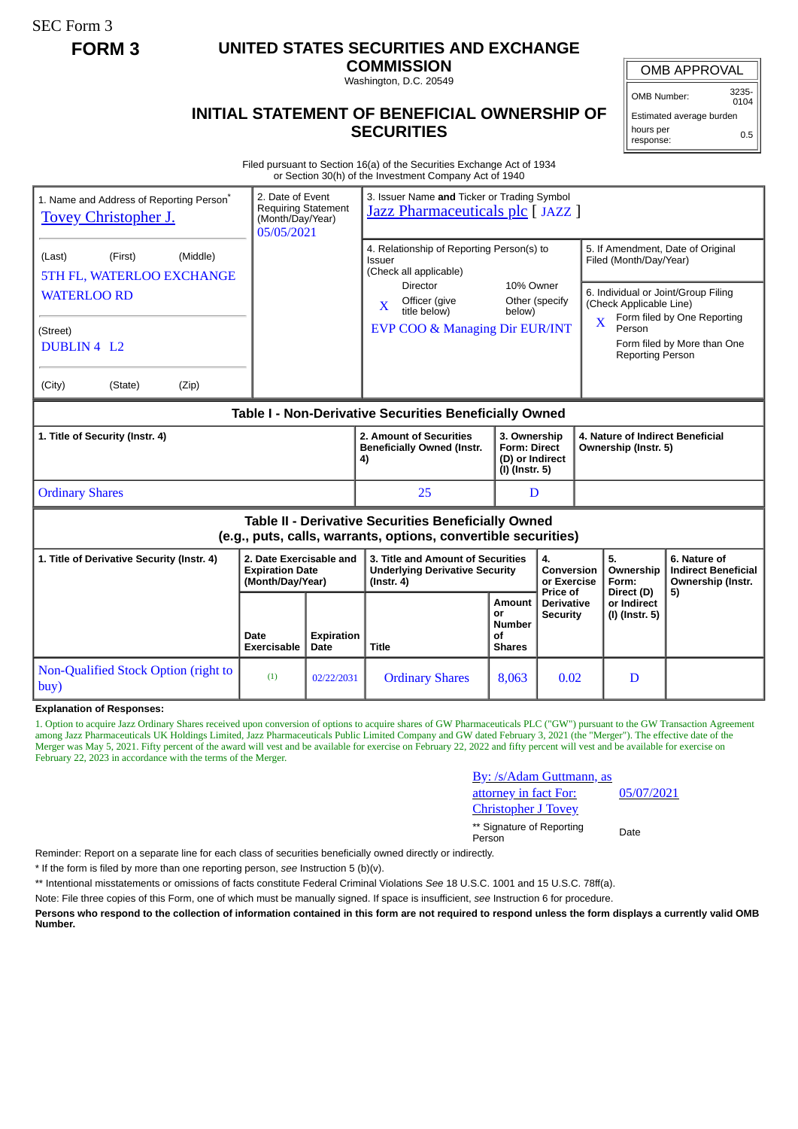SEC Form 3

## **FORM 3 UNITED STATES SECURITIES AND EXCHANGE**

**COMMISSION**

Washington, D.C. 20549

## **INITIAL STATEMENT OF BENEFICIAL OWNERSHIP OF SECURITIES**

OMB APPROVAL

OMB Number: 3235-  $0104$ 

Estimated average burden hours per response: 0.5

Filed pursuant to Section 16(a) of the Securities Exchange Act of 1934 or Section 30(h) of the Investment Company Act of 1940

| 2. Date of Event<br>1. Name and Address of Reporting Person*<br><b>Tovey Christopher J.</b><br>05/05/2021                    |                                                                       | Requiring Statement<br>(Month/Day/Year) | 3. Issuer Name and Ticker or Trading Symbol<br>Jazz Pharmaceuticals plc [JAZZ ]                                                                                                     |                                                             |                                                                          |             |                                                                                        |                                                                                                                                        |
|------------------------------------------------------------------------------------------------------------------------------|-----------------------------------------------------------------------|-----------------------------------------|-------------------------------------------------------------------------------------------------------------------------------------------------------------------------------------|-------------------------------------------------------------|--------------------------------------------------------------------------|-------------|----------------------------------------------------------------------------------------|----------------------------------------------------------------------------------------------------------------------------------------|
| (Middle)<br>(First)<br>(Last)<br>5TH FL, WATERLOO EXCHANGE<br><b>WATERLOO RD</b><br>(Street)<br>DUBLIN 4 L2                  |                                                                       |                                         | 4. Relationship of Reporting Person(s) to<br>Issuer<br>(Check all applicable)<br><b>Director</b><br>Officer (give<br>$\mathbf{x}$<br>title below)<br>EVP COO & Managing Dir EUR/INT | 10% Owner<br>Other (specify<br>below)                       |                                                                          | $\mathbf x$ | Filed (Month/Day/Year)<br>(Check Applicable Line)<br>Person<br><b>Reporting Person</b> | 5. If Amendment, Date of Original<br>6. Individual or Joint/Group Filing<br>Form filed by One Reporting<br>Form filed by More than One |
| (City)<br>(State)<br>(Zip)                                                                                                   |                                                                       |                                         |                                                                                                                                                                                     |                                                             |                                                                          |             |                                                                                        |                                                                                                                                        |
| Table I - Non-Derivative Securities Beneficially Owned                                                                       |                                                                       |                                         |                                                                                                                                                                                     |                                                             |                                                                          |             |                                                                                        |                                                                                                                                        |
| 1. Title of Security (Instr. 4)                                                                                              |                                                                       |                                         | 2. Amount of Securities<br><b>Beneficially Owned (Instr.</b><br>4)                                                                                                                  |                                                             | 3. Ownership<br><b>Form: Direct</b><br>(D) or Indirect<br>(I) (Instr. 5) |             | 4. Nature of Indirect Beneficial<br>Ownership (Instr. 5)                               |                                                                                                                                        |
| <b>Ordinary Shares</b>                                                                                                       |                                                                       |                                         | 25                                                                                                                                                                                  | D                                                           |                                                                          |             |                                                                                        |                                                                                                                                        |
| <b>Table II - Derivative Securities Beneficially Owned</b><br>(e.g., puts, calls, warrants, options, convertible securities) |                                                                       |                                         |                                                                                                                                                                                     |                                                             |                                                                          |             |                                                                                        |                                                                                                                                        |
| 1. Title of Derivative Security (Instr. 4)                                                                                   | 2. Date Exercisable and<br><b>Expiration Date</b><br>(Month/Day/Year) |                                         | 3. Title and Amount of Securities<br><b>Underlying Derivative Security</b><br>$($ lnstr. 4 $)$                                                                                      |                                                             | 4.<br>Conversion<br>or Exercise                                          |             | 5.<br>Ownership<br>Form:                                                               | 6. Nature of<br><b>Indirect Beneficial</b><br>Ownership (Instr.                                                                        |
|                                                                                                                              | Date<br><b>Exercisable</b>                                            | <b>Expiration</b><br>Date               | <b>Title</b>                                                                                                                                                                        | <b>Amount</b><br>or<br><b>Number</b><br>Οf<br><b>Shares</b> | Price of<br><b>Derivative</b><br><b>Security</b>                         |             | Direct (D)<br>or Indirect<br>(I) (Instr. 5)                                            | 5)                                                                                                                                     |
| Non-Qualified Stock Option (right to<br>buy)                                                                                 | (1)                                                                   | 02/22/2031                              | <b>Ordinary Shares</b>                                                                                                                                                              | 8,063                                                       | 0.02                                                                     |             | D                                                                                      |                                                                                                                                        |

**Explanation of Responses:**

1. Option to acquire Jazz Ordinary Shares received upon conversion of options to acquire shares of GW Pharmaceuticals PLC ("GW") pursuant to the GW Transaction Agreement among Jazz Pharmaceuticals UK Holdings Limited, Jazz Pharmaceuticals Public Limited Company and GW dated February 3, 2021 (the "Merger"). The effective date of the Merger was May 5, 2021. Fifty percent of the award will vest and be available for exercise on February 22, 2022 and fifty percent will vest and be available for exercise on February 22, 2023 in accordance with the terms of the Merger.

| <u>By: /s/Adam Guttmann, as</u>     |            |
|-------------------------------------|------------|
| attorney in fact For:               | 05/07/2021 |
| <b>Christopher J Tovey</b>          |            |
| ** Signature of Reporting<br>Person | Date       |

Reminder: Report on a separate line for each class of securities beneficially owned directly or indirectly.

\* If the form is filed by more than one reporting person, *see* Instruction 5 (b)(v).

\*\* Intentional misstatements or omissions of facts constitute Federal Criminal Violations *See* 18 U.S.C. 1001 and 15 U.S.C. 78ff(a).

Note: File three copies of this Form, one of which must be manually signed. If space is insufficient, *see* Instruction 6 for procedure.

**Persons who respond to the collection of information contained in this form are not required to respond unless the form displays a currently valid OMB Number.**